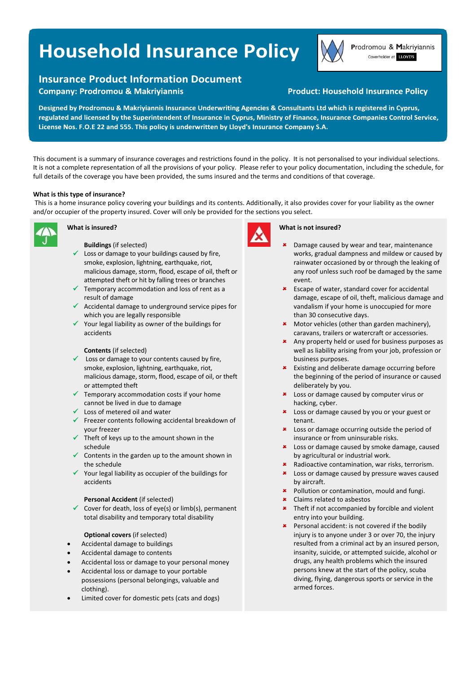# **Household Insurance Policy**

Prodromou & Makriyiannis Coverholder at LLOYD'S

## **Insurance Product Information Document**

**Company: Prodromou & Makriyiannis** 

### **Product: Household Insurance Policy**

Designed by Prodromou & Makriyiannis Insurance Underwriting Agencies & Consultants Ltd which is registered in Cyprus, regulated and licensed by the Superintendent of Insurance in Cyprus, Ministry of Finance, Insurance Companies Control Service, License Nos. F.O.E 22 and 555. This policy is underwritten by Lloyd's Insurance Company S.A.

This document is a summary of insurance coverages and restrictions found in the policy. It is not personalised to your individual selections. It is not a complete representation of all the provisions of your policy. Please refer to your policy documentation, including the schedule, for full details of the coverage you have been provided, the sums insured and the terms and conditions of that coverage.

#### **What is this type of insurance?**

 This is a home insurance policy covering your buildings and its contents. Additionally, it also provides cover for your liability as the owner and/or occupier of the property insured. Cover will only be provided for the sections you select.



#### **What is insured?**

**Buildings** (if selected)

- $\checkmark$  Loss or damage to your buildings caused by fire, smoke, explosion, lightning, earthquake, riot, malicious damage, storm, flood, escape of oil, theft or attempted theft or hit by falling trees or branches
- $\checkmark$  Temporary accommodation and loss of rent as a result of damage
- $\checkmark$  Accidental damage to underground service pipes for which you are legally responsible
- $\checkmark$  Your legal liability as owner of the buildings for accidents

#### **Contents** (if selected)

- $\checkmark$  Loss or damage to your contents caused by fire, smoke, explosion, lightning, earthquake, riot, malicious damage, storm, flood, escape of oil, or theft or attempted theft
- $\checkmark$  Temporary accommodation costs if your home cannot be lived in due to damage
- $\checkmark$  Loss of metered oil and water
- Freezer contents following accidental breakdown of your freezer
- $\checkmark$  Theft of keys up to the amount shown in the schedule
- $\checkmark$  Contents in the garden up to the amount shown in the schedule
- $\checkmark$  Your legal liability as occupier of the buildings for accidents

#### **Personal Accident** (if selected)

Cover for death, loss of eye(s) or limb(s), permanent total disability and temporary total disability

#### **Optional covers** (if selected)

- Accidental damage to buildings
- Accidental damage to contents
- Accidental loss or damage to your personal money
- Accidental loss or damage to your portable possessions (personal belongings, valuable and clothing).
- Limited cover for domestic pets (cats and dogs)



#### **What is not insured?**

- Damage caused by wear and tear, maintenance works, gradual dampness and mildew or caused by rainwater occasioned by or through the leaking of any roof unless such roof be damaged by the same event.
- **\*** Escape of water, standard cover for accidental damage, escape of oil, theft, malicious damage and vandalism if your home is unoccupied for more than 30 consecutive days.
- \* Motor vehicles (other than garden machinery), caravans, trailers or watercraft or accessories.
- \* Any property held or used for business purposes as well as liability arising from your job, profession or business purposes.
- **\*** Existing and deliberate damage occurring before the beginning of the period of insurance or caused deliberately by you.
- **\*** Loss or damage caused by computer virus or hacking, cyber.
- **\*** Loss or damage caused by you or your guest or tenant.
- **\*** Loss or damage occurring outside the period of insurance or from uninsurable risks.
- **\*** Loss or damage caused by smoke damage, caused by agricultural or industrial work.
- **\*** Radioactive contamination, war risks, terrorism.
- **\*** Loss or damage caused by pressure waves caused by aircraft.
- **\*** Pollution or contamination, mould and fungi.
- Claims related to asbestos
- **\*** Theft if not accompanied by forcible and violent entry into your building.
- **\*** Personal accident: is not covered if the bodily injury is to anyone under 3 or over 70, the injury resulted from a criminal act by an insured person, insanity, suicide, or attempted suicide, alcohol or drugs, any health problems which the insured persons knew at the start of the policy, scuba diving, flying, dangerous sports or service in the armed forces.